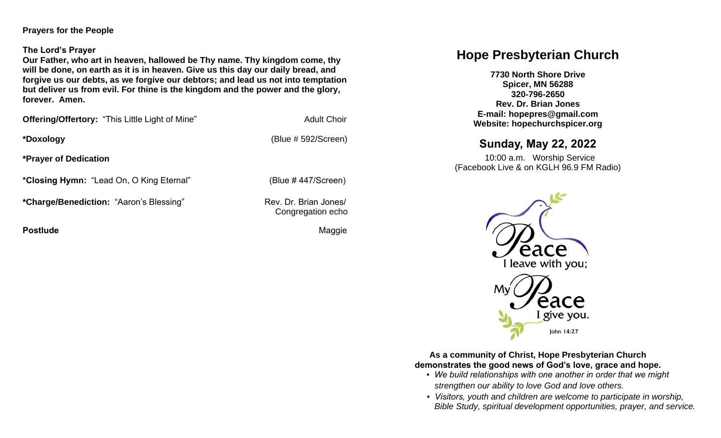### **Prayers for the People**

### **The Lord's Prayer**

**Our Father, who art in heaven, hallowed be Thy name. Thy kingdom come, thy will be done, on earth as it is in heaven. Give us this day our daily bread, and forgive us our debts, as we forgive our debtors; and lead us not into temptation but deliver us from evil. For thine is the kingdom and the power and the glory, forever. Amen.** 

**Offering/Offertory:** "This Little Light of Mine" **Adult Choir** 

**\*Doxology** (Blue # 592/Screen)

**\*Prayer of Dedication**

**\*Closing Hymn:** "Lead On, O King Eternal" (Blue # 447/Screen)

\*Charge/Benediction: "Aaron's Blessing" Rev. Dr. Brian Jones/

**Postlude Maggie According to the Contract of the Contract of Contract According Maggie** 

Congregation echo

# **Hope Presbyterian Church**

**7730 North Shore Drive Spicer, MN 56288 320-796-2650 Rev. Dr. Brian Jones E-mail: hopepres@gmail.com Website: hopechurchspicer.org**

# **Sunday, May 22, 2022**

 10:00 a.m. Worship Service (Facebook Live & on KGLH 96.9 FM Radio)



**As a community of Christ, Hope Presbyterian Church demonstrates the good news of God's love, grace and hope.**

- *We build relationships with one another in order that we might strengthen our ability to love God and love others.*
- *Visitors, youth and children are welcome to participate in worship, Bible Study, spiritual development opportunities, prayer, and service.*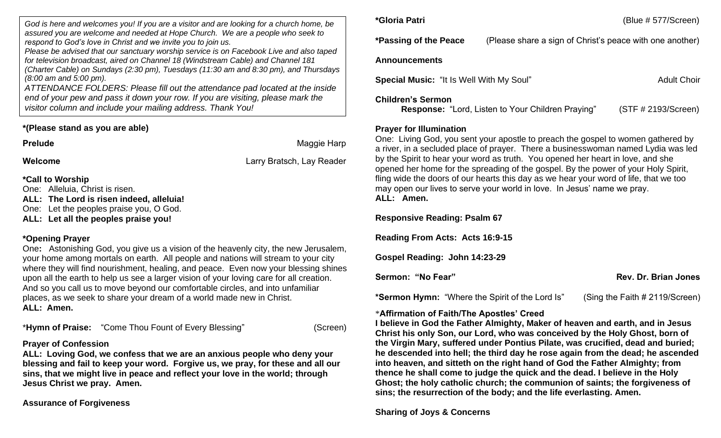*God is here and welcomes you! If you are a visitor and are looking for a church home, be assured you are welcome and needed at Hope Church. We are a people who seek to respond to God's love in Christ and we invite you to join us.*

*Please be advised that our sanctuary worship service is on Facebook Live and also taped for television broadcast, aired on Channel 18 (Windstream Cable) and Channel 181 (Charter Cable) on Sundays (2:30 pm), Tuesdays (11:30 am and 8:30 pm), and Thursda (8:00 am and 5:00 pm).*

*ATTENDANCE FOLDERS: Please fill out the attendance pad located at the inside end of your pew and pass it down your row. If you are visiting, please mark the visitor column and include your mailing address. Thank You!*

# **\*(Please stand as you are able)**

**Prelude** Maggie Harp

**Welcome** Larry Bratsch, Lay Reader

**\*Call to Worship** One: Alleluia, Christ is risen. **ALL: The Lord is risen indeed, alleluia!** 

One: Let the peoples praise you, O God.

**ALL: Let all the peoples praise you!**

# **\*Opening Prayer**

One**:** Astonishing God, you give us a vision of the heavenly city, the new Jerusalem, your home among mortals on earth. All people and nations will stream to your city where they will find nourishment, healing, and peace. Even now your blessing shines upon all the earth to help us see a larger vision of your loving care for all creation. And so you call us to move beyond our comfortable circles, and into unfamiliar places, as we seek to share your dream of a world made new in Christ. **ALL: Amen.**

\***Hymn of Praise:** "Come Thou Fount of Every Blessing" (Screen)

# **Prayer of Confession**

**ALL: Loving God, we confess that we are an anxious people who deny your blessing and fail to keep your word. Forgive us, we pray, for these and all our sins, that we might live in peace and reflect your love in the world; through Jesus Christ we pray. Amen.** 

# **Assurance of Forgiveness**

|           | *Passing of the Peace                           | (Please share a sign of Christ's peace with one another) |                     |  |
|-----------|-------------------------------------------------|----------------------------------------------------------|---------------------|--|
| d         | <b>Announcements</b>                            |                                                          |                     |  |
| iys<br>le | <b>Special Music: "It Is Well With My Soul"</b> |                                                          | <b>Adult Choir</b>  |  |
|           | <b>Children's Sermon</b>                        | Response: "Lord, Listen to Your Children Praying"        | (STF # 2193/Screen) |  |

**\*Gloria Patri** (Blue # 577/Screen)

# **Prayer for Illumination**

One: Living God, you sent your apostle to preach the gospel to women gathered by a river, in a secluded place of prayer. There a businesswoman named Lydia was led by the Spirit to hear your word as truth. You opened her heart in love, and she opened her home for the spreading of the gospel. By the power of your Holy Spirit, fling wide the doors of our hearts this day as we hear your word of life, that we too may open our lives to serve your world in love. In Jesus' name we pray. **ALL: Amen.**

## **Responsive Reading: Psalm 67**

**Reading From Acts: Acts 16:9-15**

**Gospel Reading: John 14:23-29**

**Sermon: "No Fear" Rev. Dr. Brian Jones** Rev. Dr. Brian Jones

**\*Sermon Hymn:** "Where the Spirit of the Lord Is" (Sing the Faith # 2119/Screen)

# \***Affirmation of Faith/The Apostles' Creed**

**I believe in God the Father Almighty, Maker of heaven and earth, and in Jesus Christ his only Son, our Lord, who was conceived by the Holy Ghost, born of the Virgin Mary, suffered under Pontius Pilate, was crucified, dead and buried; he descended into hell; the third day he rose again from the dead; he ascended into heaven, and sitteth on the right hand of God the Father Almighty; from thence he shall come to judge the quick and the dead. I believe in the Holy Ghost; the holy catholic church; the communion of saints; the forgiveness of sins; the resurrection of the body; and the life everlasting. Amen.**

**Sharing of Joys & Concerns**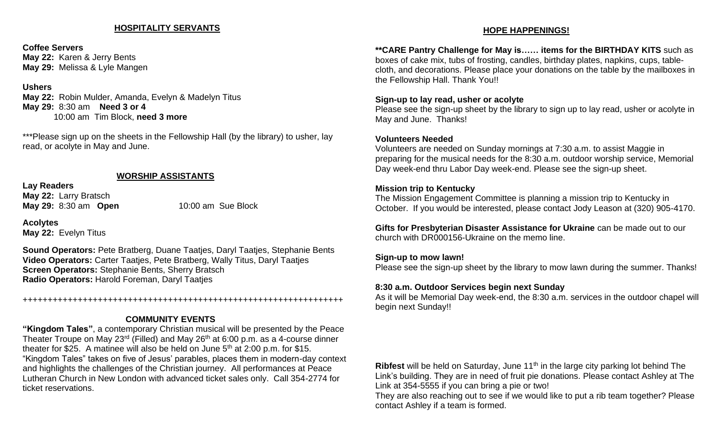### **HOSPITALITY SERVANTS**

**Coffee Servers May 22:** Karen & Jerry Bents **May 29:** Melissa & Lyle Mangen

#### **Ushers**

**May 22:** Robin Mulder, Amanda, Evelyn & Madelyn Titus **May 29:** 8:30 am **Need 3 or 4** 10:00 am Tim Block, **need 3 more**

\*\*\*Please sign up on the sheets in the Fellowship Hall (by the library) to usher, lay read, or acolyte in May and June.

### **WORSHIP ASSISTANTS**

**Lay Readers May 22:** Larry Bratsch **May 29:** 8:30 am **Open** 10:00 am Sue Block

**Acolytes May 22:** Evelyn Titus

**Sound Operators:** Pete Bratberg, Duane Taatjes, Daryl Taatjes, Stephanie Bents **Video Operators:** Carter Taatjes, Pete Bratberg, Wally Titus, Daryl Taatjes **Screen Operators:** Stephanie Bents, Sherry Bratsch **Radio Operators:** Harold Foreman, Daryl Taatjes

#### ++++++++++++++++++++++++++++++++++++++++++++++++++++++++++++++++

### **COMMUNITY EVENTS**

**"Kingdom Tales"**, a contemporary Christian musical will be presented by the Peace Theater Troupe on May 23<sup>rd</sup> (Filled) and May 26<sup>th</sup> at 6:00 p.m. as a 4-course dinner theater for \$25. A matinee will also be held on June  $5<sup>th</sup>$  at 2:00 p.m. for \$15. "Kingdom Tales" takes on five of Jesus' parables, places them in modern-day context and highlights the challenges of the Christian journey. All performances at Peace Lutheran Church in New London with advanced ticket sales only. Call 354-2774 for ticket reservations.

#### **HOPE HAPPENINGS!**

**\*\*CARE Pantry Challenge for May is…… items for the BIRTHDAY KITS** such as boxes of cake mix, tubs of frosting, candles, birthday plates, napkins, cups, tablecloth, and decorations. Please place your donations on the table by the mailboxes in the Fellowship Hall. Thank You!!

#### **Sign-up to lay read, usher or acolyte**

Please see the sign-up sheet by the library to sign up to lay read, usher or acolyte in May and June. Thanks!

#### **Volunteers Needed**

Volunteers are needed on Sunday mornings at 7:30 a.m. to assist Maggie in preparing for the musical needs for the 8:30 a.m. outdoor worship service, Memorial Day week-end thru Labor Day week-end. Please see the sign-up sheet.

#### **Mission trip to Kentucky**

The Mission Engagement Committee is planning a mission trip to Kentucky in October. If you would be interested, please contact Jody Leason at (320) 905-4170.

**Gifts for Presbyterian Disaster Assistance for Ukraine** can be made out to our church with DR000156-Ukraine on the memo line.

#### **Sign-up to mow lawn!**

Please see the sign-up sheet by the library to mow lawn during the summer. Thanks!

#### **8:30 a.m. Outdoor Services begin next Sunday**

As it will be Memorial Day week-end, the 8:30 a.m. services in the outdoor chapel will begin next Sunday!!

**Ribfest** will be held on Saturday, June 11<sup>th</sup> in the large city parking lot behind The Link's building. They are in need of fruit pie donations. Please contact Ashley at The Link at 354-5555 if you can bring a pie or two!

They are also reaching out to see if we would like to put a rib team together? Please contact Ashley if a team is formed.